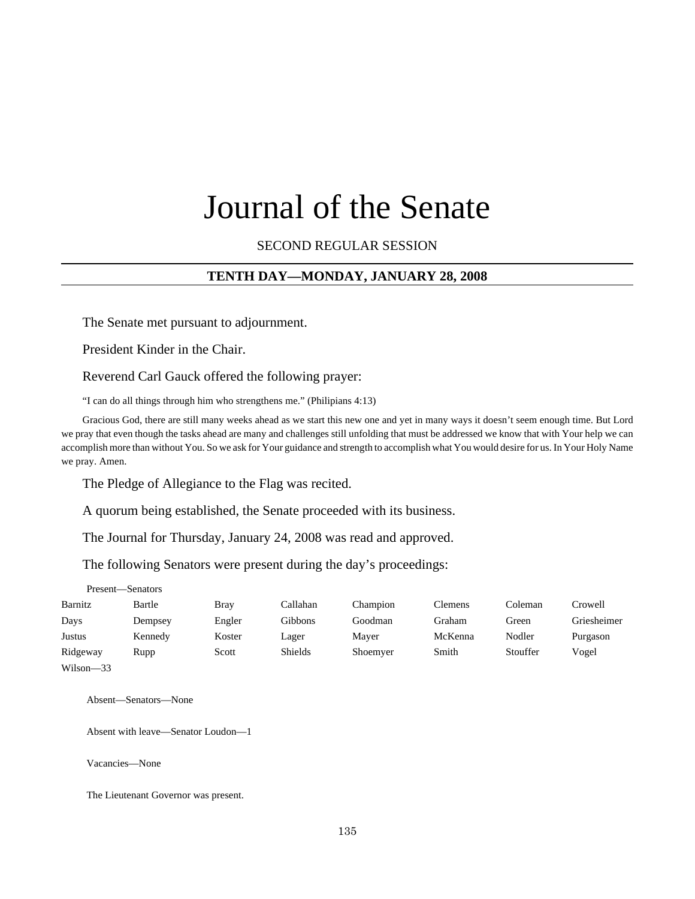# Journal of the Senate

SECOND REGULAR SESSION

## **TENTH DAY—MONDAY, JANUARY 28, 2008**

The Senate met pursuant to adjournment.

President Kinder in the Chair.

Reverend Carl Gauck offered the following prayer:

"I can do all things through him who strengthens me." (Philipians 4:13)

Gracious God, there are still many weeks ahead as we start this new one and yet in many ways it doesn't seem enough time. But Lord we pray that even though the tasks ahead are many and challenges still unfolding that must be addressed we know that with Your help we can accomplish more than without You. So we ask for Your guidance and strength to accomplish what You would desire for us. In Your Holy Name we pray. Amen.

The Pledge of Allegiance to the Flag was recited.

A quorum being established, the Senate proceeded with its business.

The Journal for Thursday, January 24, 2008 was read and approved.

The following Senators were present during the day's proceedings:

|               | Present-Senators |        |          |          |                |          |             |
|---------------|------------------|--------|----------|----------|----------------|----------|-------------|
| Barnitz       | Bartle           | Bray   | Callahan | Champion | <b>Clemens</b> | Coleman  | Crowell     |
| Days          | Dempsey          | Engler | Gibbons  | Goodman  | Graham         | Green    | Griesheimer |
| Justus        | Kennedy          | Koster | Lager    | Mayer    | McKenna        | Nodler   | Purgason    |
| Ridgeway      | Rupp             | Scott  | Shields  | Shoemyer | Smith          | Stouffer | Vogel       |
| $Wilson - 33$ |                  |        |          |          |                |          |             |

Absent—Senators—None

Absent with leave—Senator Loudon—1

Vacancies—None

The Lieutenant Governor was present.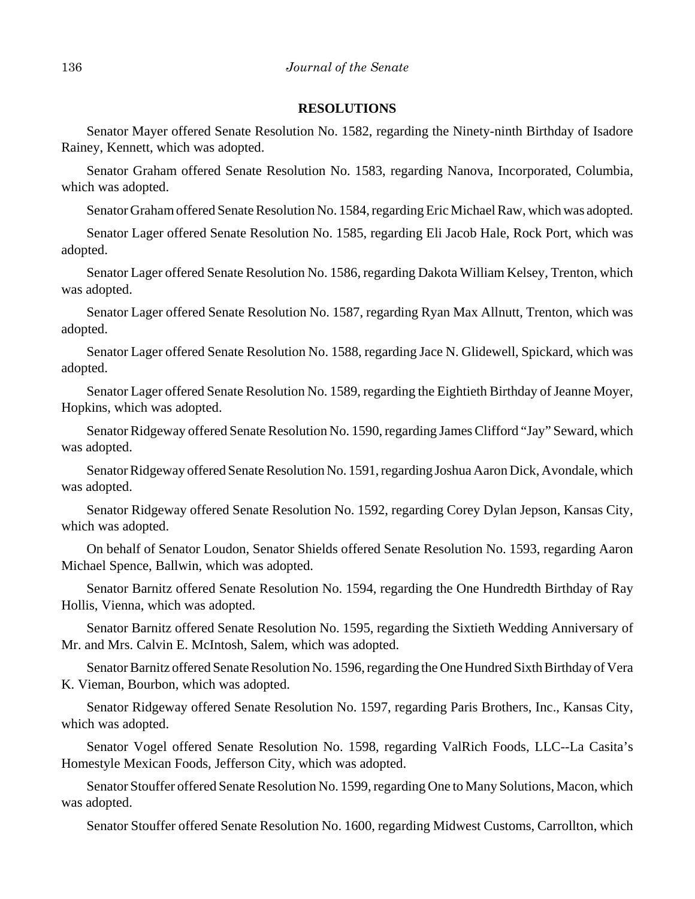## **RESOLUTIONS**

Senator Mayer offered Senate Resolution No. 1582, regarding the Ninety-ninth Birthday of Isadore Rainey, Kennett, which was adopted.

Senator Graham offered Senate Resolution No. 1583, regarding Nanova, Incorporated, Columbia, which was adopted.

Senator Graham offered Senate Resolution No. 1584, regarding Eric Michael Raw, which was adopted.

Senator Lager offered Senate Resolution No. 1585, regarding Eli Jacob Hale, Rock Port, which was adopted.

Senator Lager offered Senate Resolution No. 1586, regarding Dakota William Kelsey, Trenton, which was adopted.

Senator Lager offered Senate Resolution No. 1587, regarding Ryan Max Allnutt, Trenton, which was adopted.

Senator Lager offered Senate Resolution No. 1588, regarding Jace N. Glidewell, Spickard, which was adopted.

Senator Lager offered Senate Resolution No. 1589, regarding the Eightieth Birthday of Jeanne Moyer, Hopkins, which was adopted.

Senator Ridgeway offered Senate Resolution No. 1590, regarding James Clifford "Jay" Seward, which was adopted.

Senator Ridgeway offered Senate Resolution No. 1591, regarding Joshua Aaron Dick, Avondale, which was adopted.

Senator Ridgeway offered Senate Resolution No. 1592, regarding Corey Dylan Jepson, Kansas City, which was adopted.

On behalf of Senator Loudon, Senator Shields offered Senate Resolution No. 1593, regarding Aaron Michael Spence, Ballwin, which was adopted.

Senator Barnitz offered Senate Resolution No. 1594, regarding the One Hundredth Birthday of Ray Hollis, Vienna, which was adopted.

Senator Barnitz offered Senate Resolution No. 1595, regarding the Sixtieth Wedding Anniversary of Mr. and Mrs. Calvin E. McIntosh, Salem, which was adopted.

Senator Barnitz offered Senate Resolution No. 1596, regarding the One Hundred Sixth Birthday of Vera K. Vieman, Bourbon, which was adopted.

Senator Ridgeway offered Senate Resolution No. 1597, regarding Paris Brothers, Inc., Kansas City, which was adopted.

Senator Vogel offered Senate Resolution No. 1598, regarding ValRich Foods, LLC--La Casita's Homestyle Mexican Foods, Jefferson City, which was adopted.

Senator Stouffer offered Senate Resolution No. 1599, regarding One to Many Solutions, Macon, which was adopted.

Senator Stouffer offered Senate Resolution No. 1600, regarding Midwest Customs, Carrollton, which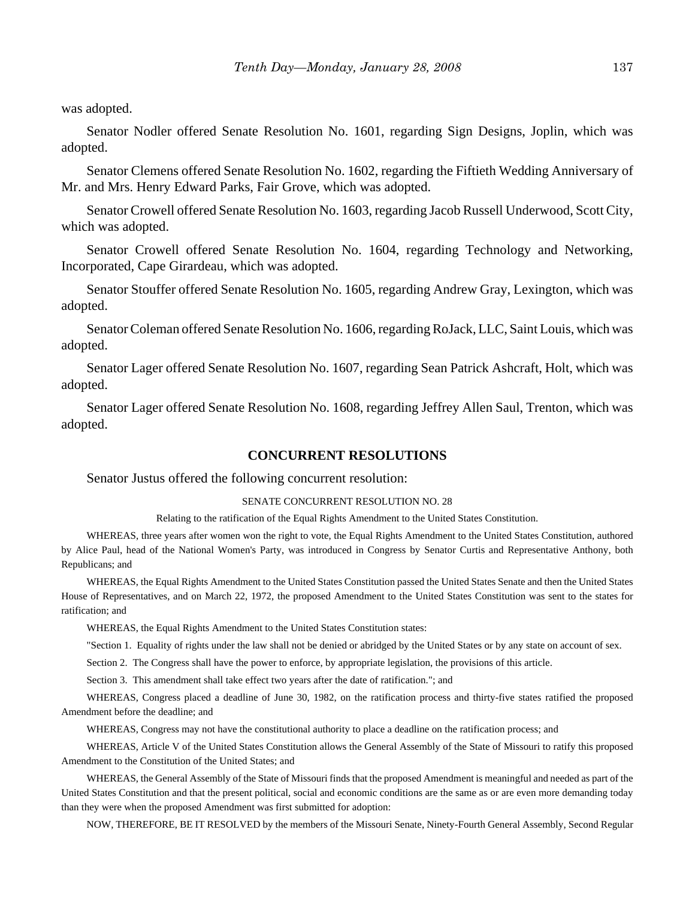was adopted.

Senator Nodler offered Senate Resolution No. 1601, regarding Sign Designs, Joplin, which was adopted.

Senator Clemens offered Senate Resolution No. 1602, regarding the Fiftieth Wedding Anniversary of Mr. and Mrs. Henry Edward Parks, Fair Grove, which was adopted.

Senator Crowell offered Senate Resolution No. 1603, regarding Jacob Russell Underwood, Scott City, which was adopted.

Senator Crowell offered Senate Resolution No. 1604, regarding Technology and Networking, Incorporated, Cape Girardeau, which was adopted.

Senator Stouffer offered Senate Resolution No. 1605, regarding Andrew Gray, Lexington, which was adopted.

Senator Coleman offered Senate Resolution No. 1606, regarding RoJack, LLC, Saint Louis, which was adopted.

Senator Lager offered Senate Resolution No. 1607, regarding Sean Patrick Ashcraft, Holt, which was adopted.

Senator Lager offered Senate Resolution No. 1608, regarding Jeffrey Allen Saul, Trenton, which was adopted.

#### **CONCURRENT RESOLUTIONS**

#### Senator Justus offered the following concurrent resolution:

#### SENATE CONCURRENT RESOLUTION NO. 28

Relating to the ratification of the Equal Rights Amendment to the United States Constitution.

WHEREAS, three years after women won the right to vote, the Equal Rights Amendment to the United States Constitution, authored by Alice Paul, head of the National Women's Party, was introduced in Congress by Senator Curtis and Representative Anthony, both Republicans; and

WHEREAS, the Equal Rights Amendment to the United States Constitution passed the United States Senate and then the United States House of Representatives, and on March 22, 1972, the proposed Amendment to the United States Constitution was sent to the states for ratification; and

WHEREAS, the Equal Rights Amendment to the United States Constitution states:

"Section 1. Equality of rights under the law shall not be denied or abridged by the United States or by any state on account of sex.

Section 2. The Congress shall have the power to enforce, by appropriate legislation, the provisions of this article.

Section 3. This amendment shall take effect two years after the date of ratification."; and

WHEREAS, Congress placed a deadline of June 30, 1982, on the ratification process and thirty-five states ratified the proposed Amendment before the deadline; and

WHEREAS, Congress may not have the constitutional authority to place a deadline on the ratification process; and

WHEREAS, Article V of the United States Constitution allows the General Assembly of the State of Missouri to ratify this proposed Amendment to the Constitution of the United States; and

WHEREAS, the General Assembly of the State of Missouri finds that the proposed Amendment is meaningful and needed as part of the United States Constitution and that the present political, social and economic conditions are the same as or are even more demanding today than they were when the proposed Amendment was first submitted for adoption:

NOW, THEREFORE, BE IT RESOLVED by the members of the Missouri Senate, Ninety-Fourth General Assembly, Second Regular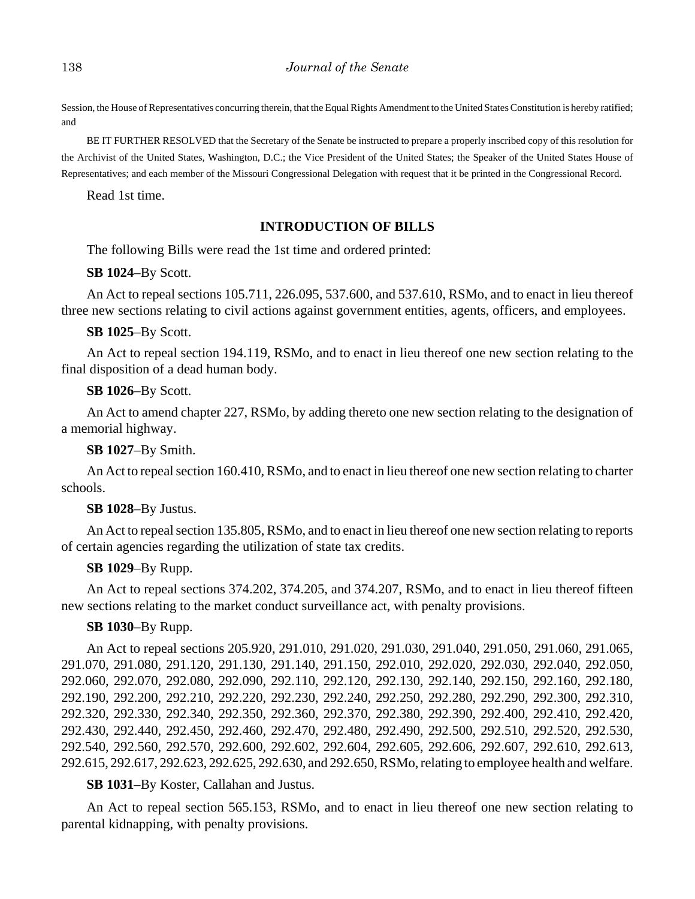Session, the House of Representatives concurring therein, that the Equal Rights Amendment to the United States Constitution is hereby ratified; and

BE IT FURTHER RESOLVED that the Secretary of the Senate be instructed to prepare a properly inscribed copy of this resolution for the Archivist of the United States, Washington, D.C.; the Vice President of the United States; the Speaker of the United States House of Representatives; and each member of the Missouri Congressional Delegation with request that it be printed in the Congressional Record.

Read 1st time.

# **INTRODUCTION OF BILLS**

The following Bills were read the 1st time and ordered printed:

**SB 1024**–By Scott.

An Act to repeal sections 105.711, 226.095, 537.600, and 537.610, RSMo, and to enact in lieu thereof three new sections relating to civil actions against government entities, agents, officers, and employees.

**SB 1025**–By Scott.

An Act to repeal section 194.119, RSMo, and to enact in lieu thereof one new section relating to the final disposition of a dead human body.

#### **SB 1026**–By Scott.

An Act to amend chapter 227, RSMo, by adding thereto one new section relating to the designation of a memorial highway.

**SB 1027**–By Smith.

An Act to repeal section 160.410, RSMo, and to enact in lieu thereof one new section relating to charter schools.

#### **SB 1028**–By Justus.

An Act to repeal section 135.805, RSMo, and to enact in lieu thereof one new section relating to reports of certain agencies regarding the utilization of state tax credits.

## **SB 1029**–By Rupp.

An Act to repeal sections 374.202, 374.205, and 374.207, RSMo, and to enact in lieu thereof fifteen new sections relating to the market conduct surveillance act, with penalty provisions.

## **SB 1030**–By Rupp.

An Act to repeal sections 205.920, 291.010, 291.020, 291.030, 291.040, 291.050, 291.060, 291.065, 291.070, 291.080, 291.120, 291.130, 291.140, 291.150, 292.010, 292.020, 292.030, 292.040, 292.050, 292.060, 292.070, 292.080, 292.090, 292.110, 292.120, 292.130, 292.140, 292.150, 292.160, 292.180, 292.190, 292.200, 292.210, 292.220, 292.230, 292.240, 292.250, 292.280, 292.290, 292.300, 292.310, 292.320, 292.330, 292.340, 292.350, 292.360, 292.370, 292.380, 292.390, 292.400, 292.410, 292.420, 292.430, 292.440, 292.450, 292.460, 292.470, 292.480, 292.490, 292.500, 292.510, 292.520, 292.530, 292.540, 292.560, 292.570, 292.600, 292.602, 292.604, 292.605, 292.606, 292.607, 292.610, 292.613, 292.615, 292.617, 292.623, 292.625, 292.630, and 292.650, RSMo, relating to employee health and welfare.

#### **SB 1031**–By Koster, Callahan and Justus.

An Act to repeal section 565.153, RSMo, and to enact in lieu thereof one new section relating to parental kidnapping, with penalty provisions.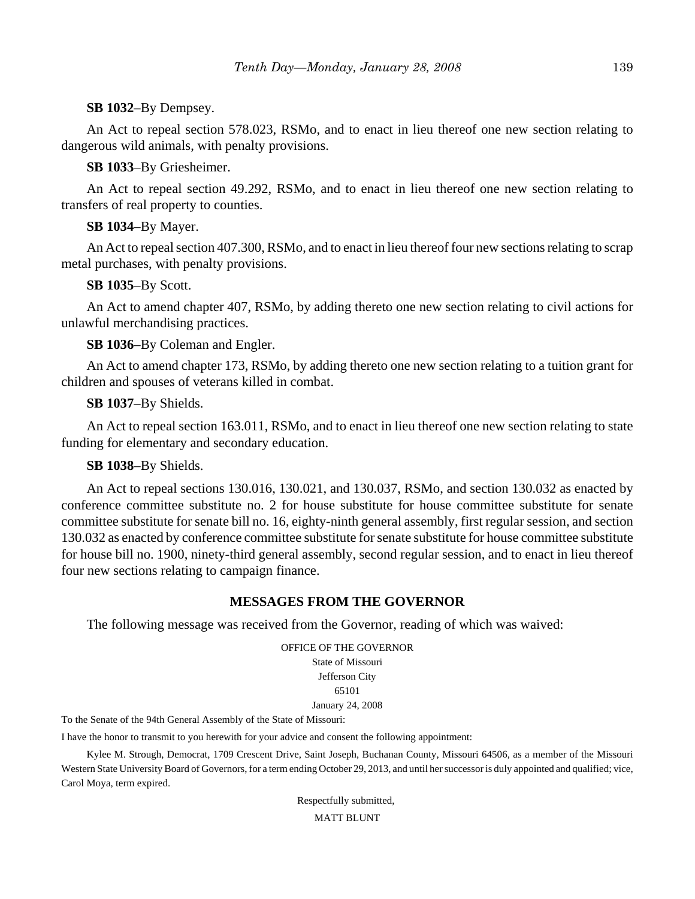# **SB 1032**–By Dempsey.

An Act to repeal section 578.023, RSMo, and to enact in lieu thereof one new section relating to dangerous wild animals, with penalty provisions.

# **SB 1033**–By Griesheimer.

An Act to repeal section 49.292, RSMo, and to enact in lieu thereof one new section relating to transfers of real property to counties.

# **SB 1034**–By Mayer.

An Act to repeal section 407.300, RSMo, and to enact in lieu thereof four new sections relating to scrap metal purchases, with penalty provisions.

# **SB 1035**–By Scott.

An Act to amend chapter 407, RSMo, by adding thereto one new section relating to civil actions for unlawful merchandising practices.

**SB 1036**–By Coleman and Engler.

An Act to amend chapter 173, RSMo, by adding thereto one new section relating to a tuition grant for children and spouses of veterans killed in combat.

# **SB 1037**–By Shields.

An Act to repeal section 163.011, RSMo, and to enact in lieu thereof one new section relating to state funding for elementary and secondary education.

# **SB 1038**–By Shields.

An Act to repeal sections 130.016, 130.021, and 130.037, RSMo, and section 130.032 as enacted by conference committee substitute no. 2 for house substitute for house committee substitute for senate committee substitute for senate bill no. 16, eighty-ninth general assembly, first regular session, and section 130.032 as enacted by conference committee substitute for senate substitute for house committee substitute for house bill no. 1900, ninety-third general assembly, second regular session, and to enact in lieu thereof four new sections relating to campaign finance.

# **MESSAGES FROM THE GOVERNOR**

The following message was received from the Governor, reading of which was waived:

OFFICE OF THE GOVERNOR State of Missouri Jefferson City 65101 January 24, 2008

To the Senate of the 94th General Assembly of the State of Missouri:

I have the honor to transmit to you herewith for your advice and consent the following appointment:

Kylee M. Strough, Democrat, 1709 Crescent Drive, Saint Joseph, Buchanan County, Missouri 64506, as a member of the Missouri Western State University Board of Governors, for a term ending October 29, 2013, and until her successor is duly appointed and qualified; vice, Carol Moya, term expired.

Respectfully submitted,

MATT BLUNT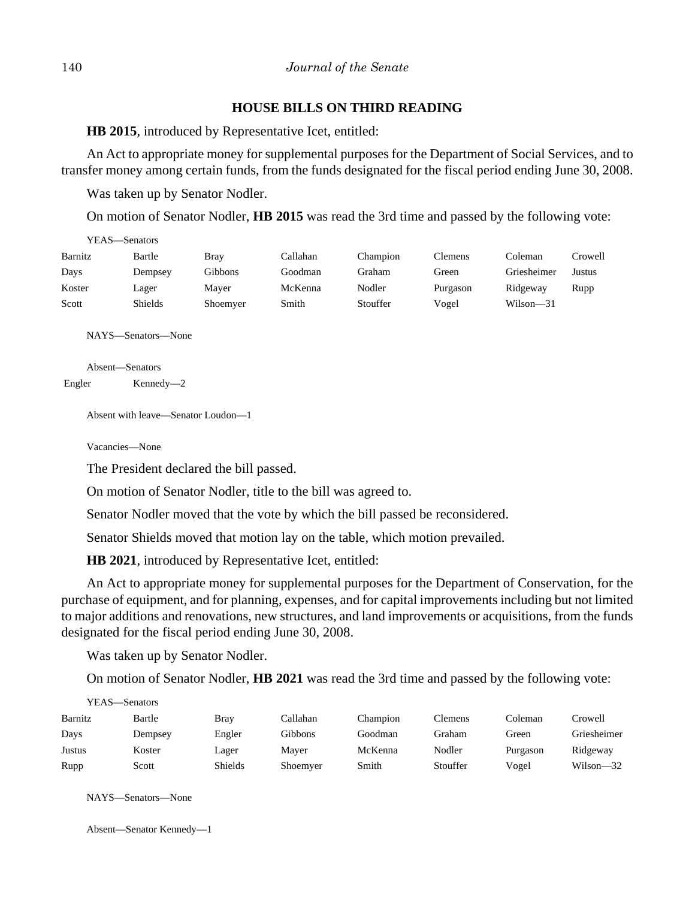# **HOUSE BILLS ON THIRD READING**

**HB 2015**, introduced by Representative Icet, entitled:

An Act to appropriate money for supplemental purposes for the Department of Social Services, and to transfer money among certain funds, from the funds designated for the fiscal period ending June 30, 2008.

Was taken up by Senator Nodler.

On motion of Senator Nodler, **HB 2015** was read the 3rd time and passed by the following vote:

| YEAS—Senators |                |          |          |          |                |             |         |
|---------------|----------------|----------|----------|----------|----------------|-------------|---------|
| Barnitz       | Bartle         | Bray     | Callahan | Champion | <b>Clemens</b> | Coleman     | Crowell |
| Days          | Dempsey        | Gibbons  | Goodman  | Graham   | Green          | Griesheimer | Justus  |
| Koster        | Lager          | Maver    | McKenna  | Nodler   | Purgason       | Ridgeway    | Rupp    |
| Scott         | <b>Shields</b> | Shoemyer | Smith    | Stouffer | Vogel          | Wilson-31   |         |

NAYS—Senators—None

Absent—Senators Engler Kennedy—2

Absent with leave—Senator Loudon—1

Vacancies—None

The President declared the bill passed.

On motion of Senator Nodler, title to the bill was agreed to.

Senator Nodler moved that the vote by which the bill passed be reconsidered.

Senator Shields moved that motion lay on the table, which motion prevailed.

**HB 2021**, introduced by Representative Icet, entitled:

An Act to appropriate money for supplemental purposes for the Department of Conservation, for the purchase of equipment, and for planning, expenses, and for capital improvements including but not limited to major additions and renovations, new structures, and land improvements or acquisitions, from the funds designated for the fiscal period ending June 30, 2008.

Was taken up by Senator Nodler.

On motion of Senator Nodler, **HB 2021** was read the 3rd time and passed by the following vote:

| YEAS—Senators |         |         |          |          |          |          |             |  |  |
|---------------|---------|---------|----------|----------|----------|----------|-------------|--|--|
| Barnitz       | Bartle  | Bray    | Callahan | Champion | Clemens  | Coleman  | Crowell     |  |  |
| Days          | Dempsey | Engler  | Gibbons  | Goodman  | Graham   | Green    | Griesheimer |  |  |
| Justus        | Koster  | Lager   | Maver    | McKenna  | Nodler   | Purgason | Ridgeway    |  |  |
| Rupp          | Scott   | Shields | Shoemyer | Smith    | Stouffer | Vogel    | Wilson—32   |  |  |

NAYS—Senators—None

```
Absent—Senator Kennedy—1
```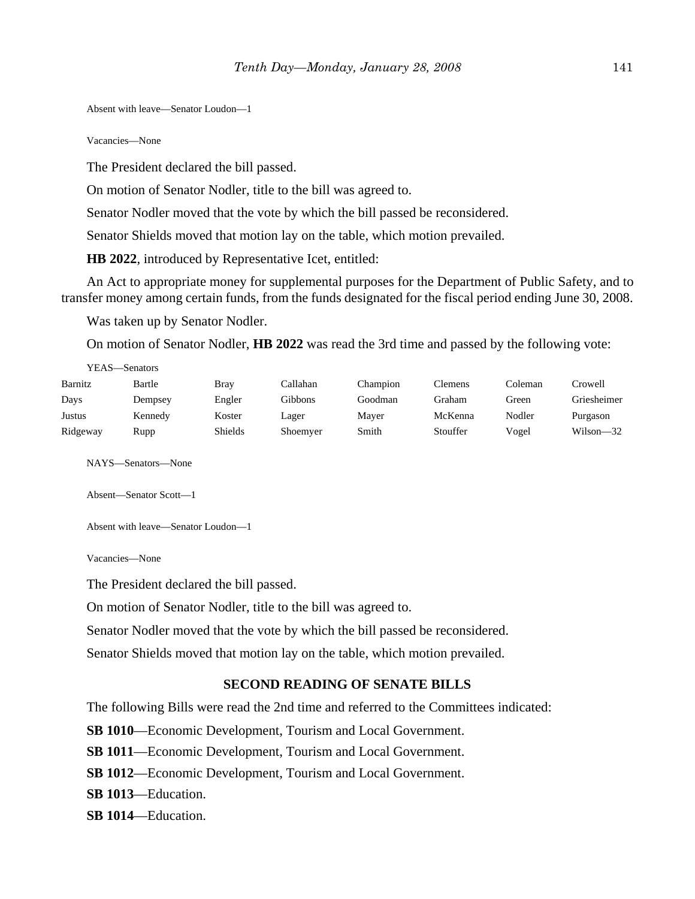Absent with leave—Senator Loudon—1

Vacancies—None

The President declared the bill passed.

On motion of Senator Nodler, title to the bill was agreed to.

Senator Nodler moved that the vote by which the bill passed be reconsidered.

Senator Shields moved that motion lay on the table, which motion prevailed.

**HB 2022**, introduced by Representative Icet, entitled:

An Act to appropriate money for supplemental purposes for the Department of Public Safety, and to transfer money among certain funds, from the funds designated for the fiscal period ending June 30, 2008.

Was taken up by Senator Nodler.

On motion of Senator Nodler, **HB 2022** was read the 3rd time and passed by the following vote:

| YEAS—Senators |         |                |          |          |          |         |               |  |  |
|---------------|---------|----------------|----------|----------|----------|---------|---------------|--|--|
| Barnitz       | Bartle  | Bray           | Callahan | Champion | Clemens  | Coleman | Crowell       |  |  |
| Days          | Dempsey | Engler         | Gibbons  | Goodman  | Graham   | Green   | Griesheimer   |  |  |
| Justus        | Kennedy | Koster         | Lager    | Mayer    | McKenna  | Nodler  | Purgason      |  |  |
| Ridgeway      | Rupp    | <b>Shields</b> | Shoemyer | Smith    | Stouffer | Vogel   | $Wilson - 32$ |  |  |

NAYS—Senators—None

Absent—Senator Scott—1

Absent with leave—Senator Loudon—1

Vacancies—None

The President declared the bill passed.

On motion of Senator Nodler, title to the bill was agreed to.

Senator Nodler moved that the vote by which the bill passed be reconsidered.

Senator Shields moved that motion lay on the table, which motion prevailed.

#### **SECOND READING OF SENATE BILLS**

The following Bills were read the 2nd time and referred to the Committees indicated:

**SB 1010**—Economic Development, Tourism and Local Government.

**SB 1011**—Economic Development, Tourism and Local Government.

**SB 1012**—Economic Development, Tourism and Local Government.

**SB 1013**—Education.

**SB 1014**—Education.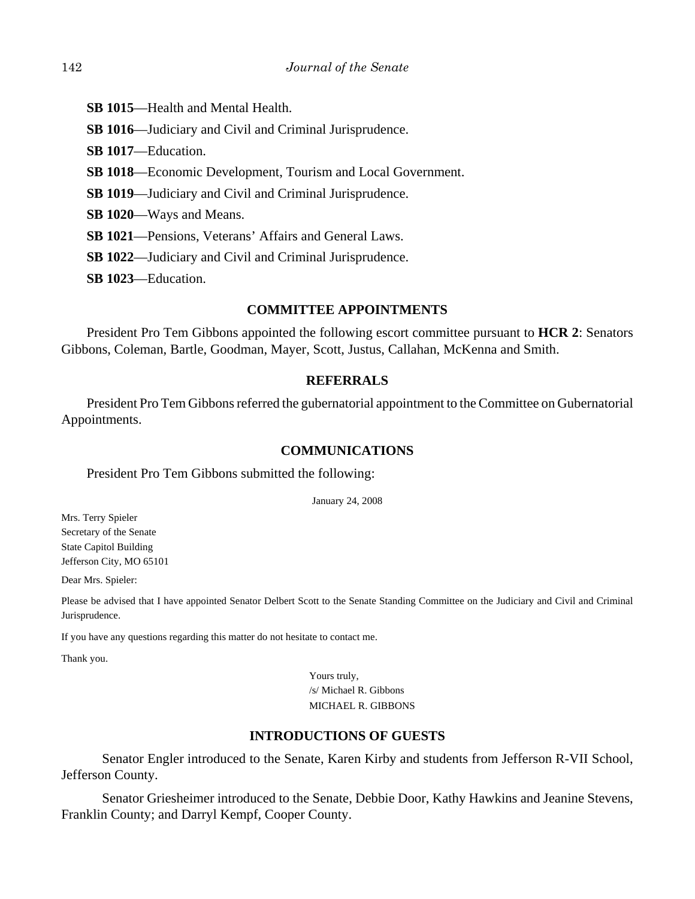- **SB 1015**—Health and Mental Health.
- **SB 1016**—Judiciary and Civil and Criminal Jurisprudence.
- **SB 1017**—Education.
- **SB 1018**—Economic Development, Tourism and Local Government.
- **SB 1019**—Judiciary and Civil and Criminal Jurisprudence.
- **SB 1020**—Ways and Means.
- **SB 1021**—Pensions, Veterans' Affairs and General Laws.
- **SB 1022**—Judiciary and Civil and Criminal Jurisprudence.
- **SB 1023**—Education.

# **COMMITTEE APPOINTMENTS**

President Pro Tem Gibbons appointed the following escort committee pursuant to **HCR 2**: Senators Gibbons, Coleman, Bartle, Goodman, Mayer, Scott, Justus, Callahan, McKenna and Smith.

## **REFERRALS**

President Pro Tem Gibbons referred the gubernatorial appointment to the Committee on Gubernatorial Appointments.

## **COMMUNICATIONS**

## President Pro Tem Gibbons submitted the following:

January 24, 2008

Mrs. Terry Spieler Secretary of the Senate State Capitol Building Jefferson City, MO 65101

Dear Mrs. Spieler:

Please be advised that I have appointed Senator Delbert Scott to the Senate Standing Committee on the Judiciary and Civil and Criminal Jurisprudence.

If you have any questions regarding this matter do not hesitate to contact me.

Thank you.

 Yours truly, /s/ Michael R. Gibbons MICHAEL R. GIBBONS

# **INTRODUCTIONS OF GUESTS**

Senator Engler introduced to the Senate, Karen Kirby and students from Jefferson R-VII School, Jefferson County.

Senator Griesheimer introduced to the Senate, Debbie Door, Kathy Hawkins and Jeanine Stevens, Franklin County; and Darryl Kempf, Cooper County.